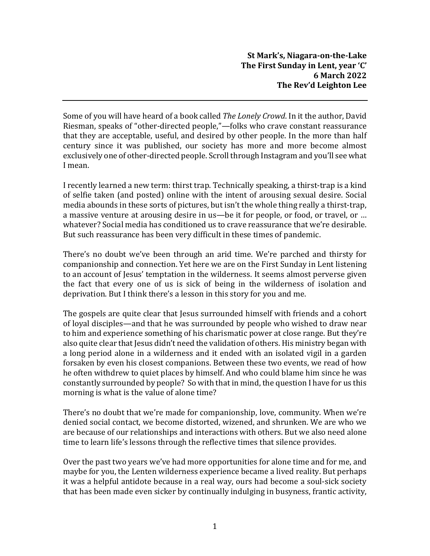Some of you will have heard of a book called *The Lonely Crowd*. In it the author, David Riesman, speaks of "other-directed people,"—folks who crave constant reassurance that they are acceptable, useful, and desired by other people. In the more than half century since it was published, our society has more and more become almost exclusively one of other-directed people.Scroll through Instagram and you'll see what I mean.

I recently learned a new term: thirst trap. Technically speaking, a thirst-trap is a kind of selfie taken (and posted) online with the intent of arousing sexual desire. Social media abounds in these sorts of pictures, but isn't the whole thing really a thirst-trap, a massive venture at arousing desire in us—be it for people, or food, or travel, or … whatever? Social media has conditioned us to crave reassurance that we're desirable. But such reassurance has been very difficult in these times of pandemic.

There's no doubt we've been through an arid time. We're parched and thirsty for companionship and connection. Yet here we are on the First Sunday in Lent listening to an account of Jesus' temptation in the wilderness. It seems almost perverse given the fact that every one of us is sick of being in the wilderness of isolation and deprivation. But I think there's a lesson in this story for you and me.

The gospels are quite clear that Jesus surrounded himself with friends and a cohort of loyal disciples—and that he was surrounded by people who wished to draw near to him and experience something of his charismatic power at close range. But they're also quite clear that Jesus didn't need the validation of others. His ministry began with a long period alone in a wilderness and it ended with an isolated vigil in a garden forsaken by even his closest companions. Between these two events, we read of how he often withdrew to quiet places by himself. And who could blame him since he was constantly surrounded by people? So with that in mind, the question I have for us this morning is what is the value of alone time?

There's no doubt that we're made for companionship, love, community. When we're denied social contact, we become distorted, wizened, and shrunken. We are who we are because of our relationships and interactions with others. But we also need alone time to learn life's lessons through the reflective times that silence provides.

Over the past two years we've had more opportunities for alone time and for me, and maybe for you, the Lenten wilderness experience became a lived reality. But perhaps it was a helpful antidote because in a real way, ours had become a soul-sick society that has been made even sicker by continually indulging in busyness, frantic activity,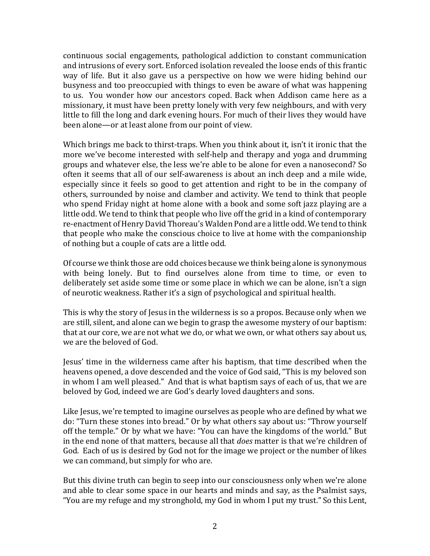continuous social engagements, pathological addiction to constant communication and intrusions of every sort. Enforced isolation revealed the loose ends of this frantic way of life. But it also gave us a perspective on how we were hiding behind our busyness and too preoccupied with things to even be aware of what was happening to us. You wonder how our ancestors coped. Back when Addison came here as a missionary, it must have been pretty lonely with very few neighbours, and with very little to fill the long and dark evening hours. For much of their lives they would have been alone—or at least alone from our point of view.

Which brings me back to thirst-traps. When you think about it, isn't it ironic that the more we've become interested with self-help and therapy and yoga and drumming groups and whatever else, the less we're able to be alone for even a nanosecond? So often it seems that all of our self-awareness is about an inch deep and a mile wide, especially since it feels so good to get attention and right to be in the company of others, surrounded by noise and clamber and activity. We tend to think that people who spend Friday night at home alone with a book and some soft jazz playing are a little odd. We tend to think that people who live off the grid in a kind of contemporary re-enactment ofHenryDavid Thoreau's Walden Pond are a little odd. We tend to think that people who make the conscious choice to live at home with the companionship of nothing but a couple of cats are a little odd.

Of course we think those are odd choices because we think being alone is synonymous with being lonely. But to find ourselves alone from time to time, or even to deliberately set aside some time or some place in which we can be alone, isn't a sign of neurotic weakness. Rather it's a sign of psychological and spiritual health.

This is why the story of Jesus in the wilderness is so a propos. Because only when we are still, silent, and alone can we begin to grasp the awesome mystery of our baptism: that at our core, we are not what we do, or what we own, or what others say about us, we are the beloved of God.

Jesus' time in the wilderness came after his baptism, that time described when the heavens opened, a dove descended and the voice of God said, "This is my beloved son in whom I am well pleased." And that is what baptism says of each of us, that we are beloved by God, indeed we are God's dearly loved daughters and sons.

Like Jesus, we're tempted to imagine ourselves as people who are defined by what we do: "Turn these stones into bread." Or by what others say about us: "Throw yourself off the temple." Or by what we have: "You can have the kingdoms of the world." But in the end none of that matters, because all that *does* matter is that we're children of God. Each of us is desired by God not for the image we project or the number of likes we can command, but simply for who are.

But this divine truth can begin to seep into our consciousness only when we're alone and able to clear some space in our hearts and minds and say, as the Psalmist says, "You are my refuge and my stronghold, my God in whom I put my trust." So this Lent,